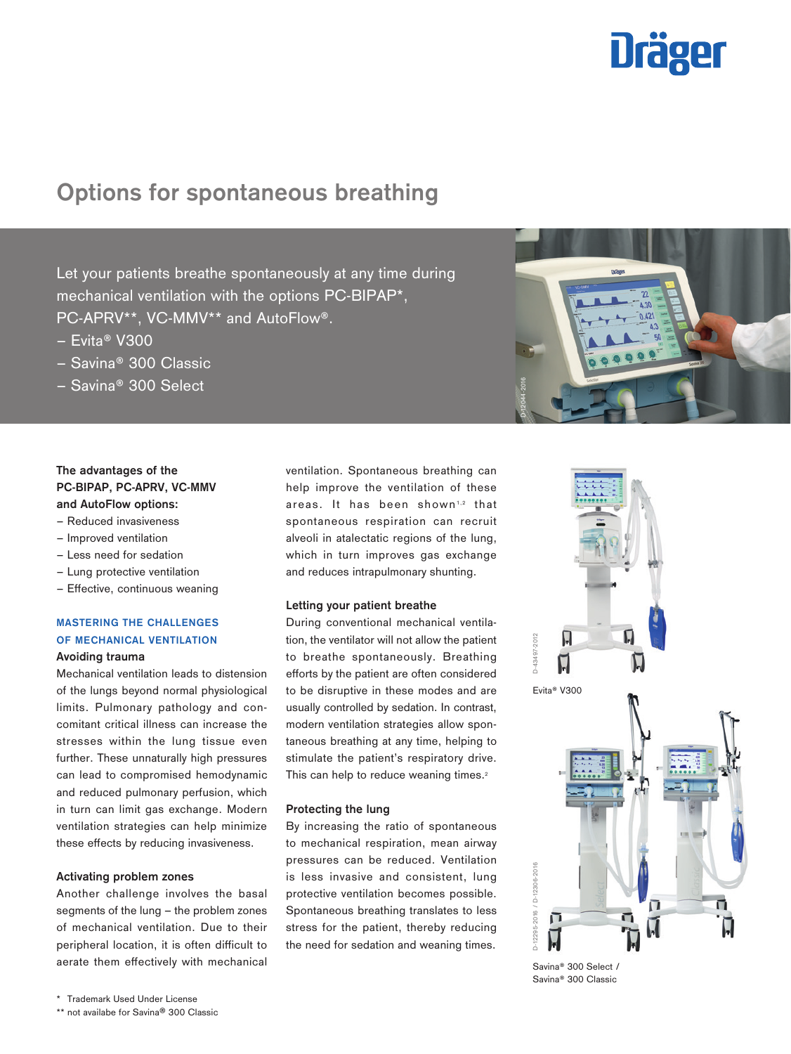# **Dräger**

# **Options for spontaneous breathing**

Let your patients breathe spontaneously at any time during mechanical ventilation with the options PC-BIPAP\*, PC-APRV\*\*, VC-MMV\*\* and AutoFlow®.

- Evita® V300
- Savina® 300 Classic
- Savina® 300 Select

# **The advantages of the PC-BIPAP, PC-APRV, VC-MMV and AutoFlow options:**

- Reduced invasiveness
- Improved ventilation
- Less need for sedation
- Lung protective ventilation
- Effective, continuous weaning

# **MASTERING THE CHALLENGES OF MECHANICAL VENTILATION**

# **Avoiding trauma**

Mechanical ventilation leads to distension of the lungs beyond normal physiological limits. Pulmonary pathology and concomitant critical illness can increase the stresses within the lung tissue even further. These unnaturally high pressures can lead to compromised hemodynamic and reduced pulmonary perfusion, which in turn can limit gas exchange. Modern ventilation strategies can help minimize these effects by reducing invasiveness.

# **Activating problem zones**

Another challenge involves the basal segments of the lung – the problem zones of mechanical ventilation. Due to their peripheral location, it is often difficult to aerate them effectively with mechanical

ventilation. Spontaneous breathing can help improve the ventilation of these areas. It has been shown<sup>1,2</sup> that spontaneous respiration can recruit alveoli in atalectatic regions of the lung, which in turn improves gas exchange and reduces intrapulmonary shunting.

## **Letting your patient breathe**

During conventional mechanical ventilation, the ventilator will not allow the patient to breathe spontaneously. Breathing efforts by the patient are often considered to be disruptive in these modes and are usually controlled by sedation. In contrast, modern ventilation strategies allow spontaneous breathing at any time, helping to stimulate the patient's respiratory drive. This can help to reduce weaning times.<sup>2</sup>

# **Protecting the lung**

By increasing the ratio of spontaneous to mechanical respiration, mean airway pressures can be reduced. Ventilation is less invasive and consistent, lung protective ventilation becomes possible. Spontaneous breathing translates to less stress for the patient, thereby reducing the need for sedation and weaning times.



Savina® 300 Select / Savina® 300 Classic

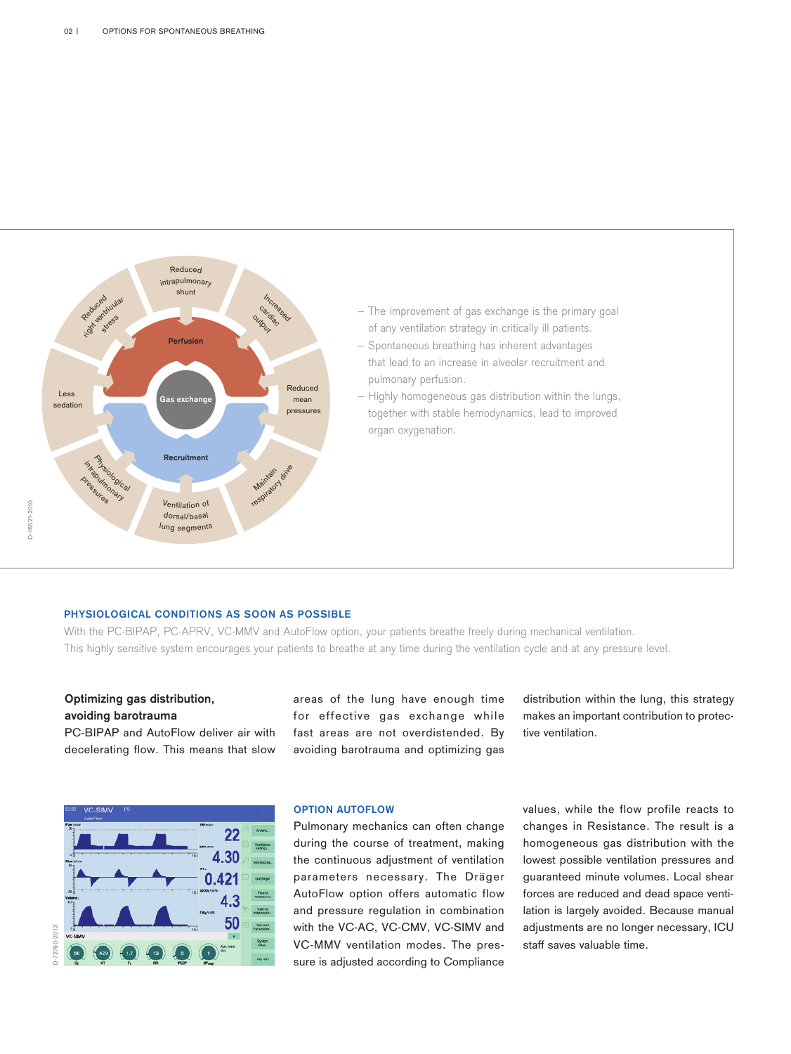

- The improvement of gas exchange is the primary goal of any ventilation strategy in critically ill patients.
- Spontaneous breathing has inherent advantages
- that lead to an increase in alveolar recruitment and pulmonary perfusion.
- Highly homogeneous gas distribution within the lungs, together with stable hemodynamics, lead to improved organ oxygenation.

# **PHYSIOLOGICAL CONDITIONS AS SOON AS POSSIBLE**

With the PC-BIPAP, PC-APRV, VC-MMV and AutoFlow option, your patients breathe freely during mechanical ventilation. This highly sensitive system encourages your patients to breathe at any time during the ventilation cycle and at any pressure level.

# **Optimizing gas distribution, avoiding barotrauma**

PC-BIPAP and AutoFlow deliver air with decelerating flow. This means that slow

areas of the lung have enough time for effective gas exchange while fast areas are not overdistended. By avoiding barotrauma and optimizing gas distribution within the lung, this strategy makes an important contribution to protective ventilation.



# **OPTION AUTOFLOW**

Pulmonary mechanics can often change during the course of treatment, making the continuous adjustment of ventilation parameters necessary. The Dräger AutoFlow option offers automatic flow and pressure regulation in combination with the VC-AC, VC-CMV, VC-SIMV and VC-MMV ventilation modes. The pressure is adjusted according to Compliance values, while the flow profile reacts to changes in Resistance. The result is a homogeneous gas distribution with the lowest possible ventilation pressures and guaranteed minute volumes. Local shear forces are reduced and dead space ventilation is largely avoided. Because manual adjustments are no longer necessary, ICU staff saves valuable time.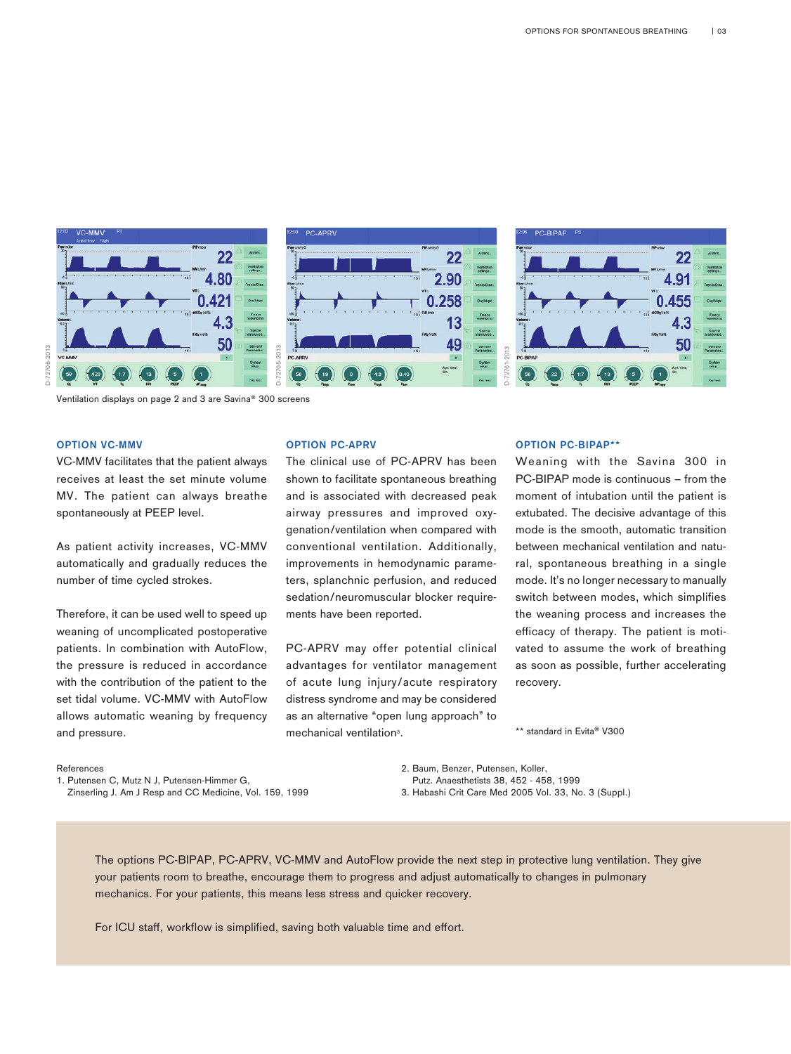

Ventilation displays on page 2 and 3 are Savina® 300 screens

# **OPTION VC-MMV**

D-72706-2013

 $-72706 - 2013$ 

VC-MMV facilitates that the patient always receives at least the set minute volume MV. The patient can always breathe spontaneously at PEEP level.

As patient activity increases, VC-MMV automatically and gradually reduces the number of time cycled strokes.

Therefore, it can be used well to speed up weaning of uncomplicated postoperative patients. In combination with AutoFlow, the pressure is reduced in accordance with the contribution of the patient to the set tidal volume. VC-MMV with AutoFlow allows automatic weaning by frequency and pressure.

#### **OPTION PC-APRV**

For ICU staff, workflow is simplified, saving both valuable time and displays on page 2 and 3 are Savina\* 300 screens<br>
IV C-MMV<br>
IV facilitates that the patient always<br>
The clinical use of PC-APRV has<br>
as a least the set m The clinical use of PC-APRV has been shown to facilitate spontaneous breathing and is associated with decreased peak airway pressures and improved oxygenation/ventilation when compared with conventional ventilation. Additionally, improvements in hemodynamic parameters, splanchnic perfusion, and reduced sedation/neuromuscular blocker requirements have been reported.

PC-APRV may offer potential clinical advantages for ventilator management of acute lung injury/acute respiratory distress syndrome and may be considered as an alternative "open lung approach" to mechanical ventilation<sup>3</sup>.

#### **OPTION PC-BIPAP\*\***

Weaning with the Savina 300 in PC-BIPAP mode is continuous – from the moment of intubation until the patient is extubated. The decisive advantage of this mode is the smooth, automatic transition between mechanical ventilation and natural, spontaneous breathing in a single mode. It's no longer necessary to manually switch between modes, which simplifies the weaning process and increases the efficacy of therapy. The patient is motivated to assume the work of breathing as soon as possible, further accelerating recovery.

\*\* standard in Evita® V300

#### References

1. Putensen C, Mutz N J, Putensen-Himmer G, Zinserling J. Am J Resp and CC Medicine, Vol. 159, 1999 2. Baum, Benzer, Putensen, Koller, Putz. Anaesthetists 38, 452 - 458, 1999 3. Habashi Crit Care Med 2005 Vol. 33, No. 3 (Suppl.)

The options PC-BIPAP, PC-APRV, VC-MMV and AutoFlow provide the next step in protective lung ventilation. They give your patients room to breathe, encourage them to progress and adjust automatically to changes in pulmonary mechanics. For your patients, this means less stress and quicker recovery.